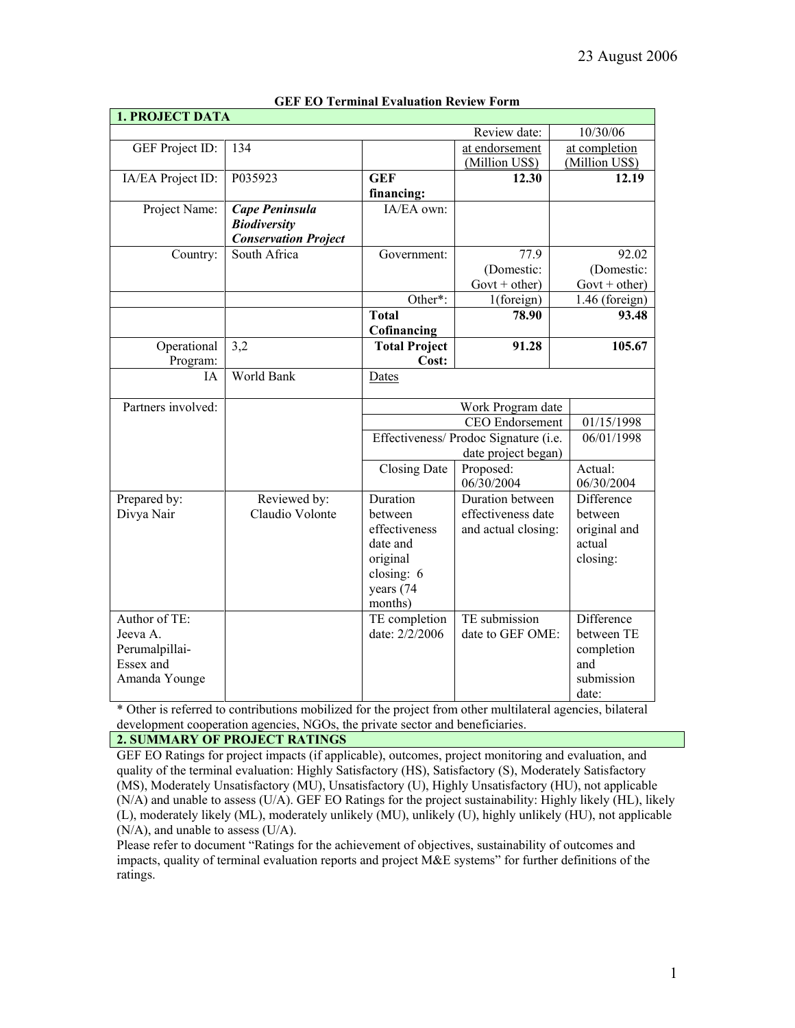| <b>1. PROJECT DATA</b> |                                 |                          |                                                     |                        |
|------------------------|---------------------------------|--------------------------|-----------------------------------------------------|------------------------|
|                        |                                 |                          | Review date:                                        | 10/30/06               |
| GEF Project ID:        | 134                             |                          | at endorsement                                      | at completion          |
|                        |                                 |                          | (Million US\$)                                      | (Million US\$)         |
| IA/EA Project ID:      | P035923                         | <b>GEF</b>               | 12.30                                               | 12.19                  |
|                        |                                 | financing:               |                                                     |                        |
| Project Name:          | Cape Peninsula                  | IA/EA own:               |                                                     |                        |
|                        | <b>Biodiversity</b>             |                          |                                                     |                        |
|                        | <b>Conservation Project</b>     |                          |                                                     |                        |
| Country:               | South Africa                    | Government:              | 77.9                                                | 92.02                  |
|                        |                                 |                          | (Domestic:                                          | (Domestic:             |
|                        |                                 |                          | Govt + other)                                       | $Govt + other$         |
|                        |                                 | Other*:                  | 1(foreign)                                          | 1.46 (foreign)         |
|                        |                                 | <b>Total</b>             | 78.90                                               | 93.48                  |
|                        |                                 | Cofinancing              |                                                     |                        |
| Operational            | 3,2                             | <b>Total Project</b>     | 91.28                                               | 105.67                 |
| Program:               |                                 | Cost:                    |                                                     |                        |
| ĪА                     | World Bank                      | Dates                    |                                                     |                        |
| Partners involved:     |                                 | Work Program date        |                                                     |                        |
|                        |                                 | CEO Endorsement          |                                                     | 01/15/1998             |
|                        |                                 |                          | 06/01/1998<br>Effectiveness/ Prodoc Signature (i.e. |                        |
|                        |                                 |                          | date project began)                                 |                        |
|                        |                                 | <b>Closing Date</b>      | Proposed:                                           | Actual:                |
|                        |                                 |                          | 06/30/2004                                          | 06/30/2004             |
| Prepared by:           | Reviewed by:<br>Claudio Volonte | Duration                 | Duration between                                    | Difference             |
| Divya Nair             |                                 | between<br>effectiveness | effectiveness date                                  | between                |
|                        |                                 | date and                 | and actual closing:                                 | original and<br>actual |
|                        |                                 | original                 |                                                     | closing:               |
|                        |                                 | closing: 6               |                                                     |                        |
|                        |                                 | years (74                |                                                     |                        |
|                        |                                 | months)                  |                                                     |                        |
| Author of TE:          |                                 | TE completion            | TE submission                                       | Difference             |
| Jeeva A.               |                                 | date: 2/2/2006           | date to GEF OME:                                    | between TE             |
| Perumalpillai-         |                                 |                          |                                                     | completion             |
| Essex and              |                                 |                          |                                                     | and                    |
| Amanda Younge          |                                 |                          |                                                     | submission             |
|                        |                                 |                          |                                                     | date:                  |

## **GEF EO Terminal Evaluation Review Form**

\* Other is referred to contributions mobilized for the project from other multilateral agencies, bilateral development cooperation agencies, NGOs, the private sector and beneficiaries.

# **2. SUMMARY OF PROJECT RATINGS**

GEF EO Ratings for project impacts (if applicable), outcomes, project monitoring and evaluation, and quality of the terminal evaluation: Highly Satisfactory (HS), Satisfactory (S), Moderately Satisfactory (MS), Moderately Unsatisfactory (MU), Unsatisfactory (U), Highly Unsatisfactory (HU), not applicable (N/A) and unable to assess (U/A). GEF EO Ratings for the project sustainability: Highly likely (HL), likely (L), moderately likely (ML), moderately unlikely (MU), unlikely (U), highly unlikely (HU), not applicable (N/A), and unable to assess (U/A).

Please refer to document "Ratings for the achievement of objectives, sustainability of outcomes and impacts, quality of terminal evaluation reports and project M&E systems" for further definitions of the ratings.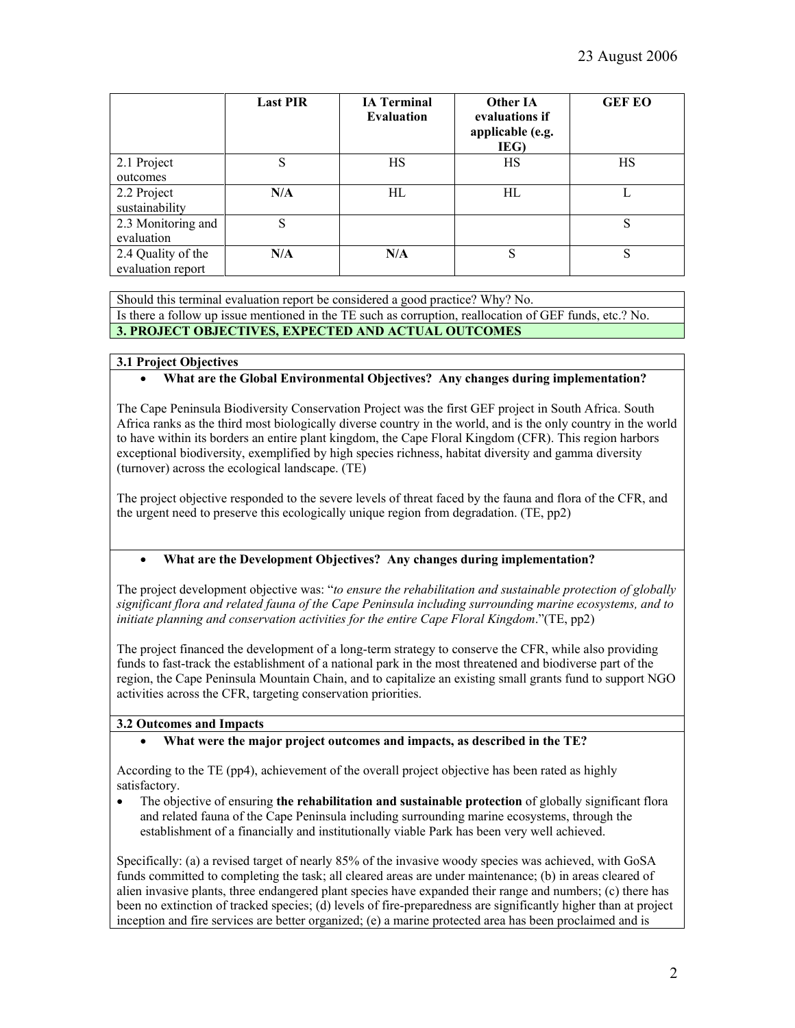|                                         | <b>Last PIR</b> | <b>IA Terminal</b><br><b>Evaluation</b> | Other IA<br>evaluations if<br>applicable (e.g.<br>IEG) | <b>GEF EO</b> |
|-----------------------------------------|-----------------|-----------------------------------------|--------------------------------------------------------|---------------|
| 2.1 Project<br>outcomes                 | S               | <b>HS</b>                               | HS                                                     | HS            |
| 2.2 Project<br>sustainability           | N/A             | HL                                      | HL                                                     |               |
| 2.3 Monitoring and<br>evaluation        | S               |                                         |                                                        | S             |
| 2.4 Quality of the<br>evaluation report | N/A             | N/A                                     | S                                                      | S             |

Should this terminal evaluation report be considered a good practice? Why? No. Is there a follow up issue mentioned in the TE such as corruption, reallocation of GEF funds, etc.? No. **3. PROJECT OBJECTIVES, EXPECTED AND ACTUAL OUTCOMES**

# **3.1 Project Objectives**

# • **What are the Global Environmental Objectives? Any changes during implementation?**

The Cape Peninsula Biodiversity Conservation Project was the first GEF project in South Africa. South Africa ranks as the third most biologically diverse country in the world, and is the only country in the world to have within its borders an entire plant kingdom, the Cape Floral Kingdom (CFR). This region harbors exceptional biodiversity, exemplified by high species richness, habitat diversity and gamma diversity (turnover) across the ecological landscape. (TE)

The project objective responded to the severe levels of threat faced by the fauna and flora of the CFR, and the urgent need to preserve this ecologically unique region from degradation. (TE, pp2)

## • **What are the Development Objectives? Any changes during implementation?**

The project development objective was: "*to ensure the rehabilitation and sustainable protection of globally significant flora and related fauna of the Cape Peninsula including surrounding marine ecosystems, and to initiate planning and conservation activities for the entire Cape Floral Kingdom*."(TE, pp2)

The project financed the development of a long-term strategy to conserve the CFR, while also providing funds to fast-track the establishment of a national park in the most threatened and biodiverse part of the region, the Cape Peninsula Mountain Chain, and to capitalize an existing small grants fund to support NGO activities across the CFR, targeting conservation priorities.

# **3.2 Outcomes and Impacts**

## • **What were the major project outcomes and impacts, as described in the TE?**

According to the TE (pp4), achievement of the overall project objective has been rated as highly satisfactory.

• The objective of ensuring **the rehabilitation and sustainable protection** of globally significant flora and related fauna of the Cape Peninsula including surrounding marine ecosystems, through the establishment of a financially and institutionally viable Park has been very well achieved.

Specifically: (a) a revised target of nearly 85% of the invasive woody species was achieved, with GoSA funds committed to completing the task; all cleared areas are under maintenance; (b) in areas cleared of alien invasive plants, three endangered plant species have expanded their range and numbers; (c) there has been no extinction of tracked species; (d) levels of fire-preparedness are significantly higher than at project inception and fire services are better organized; (e) a marine protected area has been proclaimed and is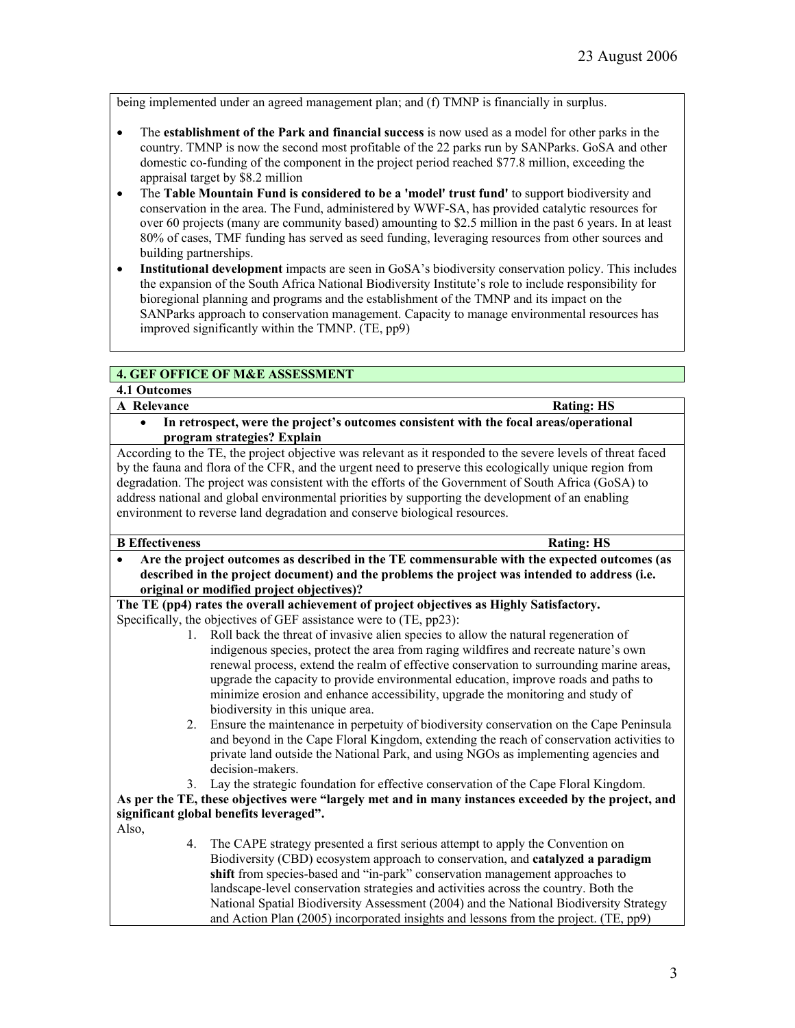being implemented under an agreed management plan; and (f) TMNP is financially in surplus.

- The **establishment of the Park and financial success** is now used as a model for other parks in the country. TMNP is now the second most profitable of the 22 parks run by SANParks. GoSA and other domestic co-funding of the component in the project period reached \$77.8 million, exceeding the appraisal target by \$8.2 million
- The **Table Mountain Fund is considered to be a 'model' trust fund'** to support biodiversity and conservation in the area. The Fund, administered by WWF-SA, has provided catalytic resources for over 60 projects (many are community based) amounting to \$2.5 million in the past 6 years. In at least 80% of cases, TMF funding has served as seed funding, leveraging resources from other sources and building partnerships.
- **Institutional development** impacts are seen in GoSA's biodiversity conservation policy. This includes the expansion of the South Africa National Biodiversity Institute's role to include responsibility for bioregional planning and programs and the establishment of the TMNP and its impact on the SANParks approach to conservation management. Capacity to manage environmental resources has improved significantly within the TMNP. (TE, pp9)

# **4. GEF OFFICE OF M&E ASSESSMENT**

## **4.1 Outcomes**

- **A** Relevance **Rating: HS** 
	- **In retrospect, were the project's outcomes consistent with the focal areas/operational program strategies? Explain**

According to the TE, the project objective was relevant as it responded to the severe levels of threat faced by the fauna and flora of the CFR, and the urgent need to preserve this ecologically unique region from degradation. The project was consistent with the efforts of the Government of South Africa (GoSA) to address national and global environmental priorities by supporting the development of an enabling environment to reverse land degradation and conserve biological resources.

## **B** Effectiveness **Rating: HS**

• **Are the project outcomes as described in the TE commensurable with the expected outcomes (as described in the project document) and the problems the project was intended to address (i.e. original or modified project objectives)?** 

**The TE (pp4) rates the overall achievement of project objectives as Highly Satisfactory.**  Specifically, the objectives of GEF assistance were to (TE, pp23):

- 1. Roll back the threat of invasive alien species to allow the natural regeneration of indigenous species, protect the area from raging wildfires and recreate nature's own renewal process, extend the realm of effective conservation to surrounding marine areas, upgrade the capacity to provide environmental education, improve roads and paths to minimize erosion and enhance accessibility, upgrade the monitoring and study of biodiversity in this unique area.
- 2. Ensure the maintenance in perpetuity of biodiversity conservation on the Cape Peninsula and beyond in the Cape Floral Kingdom, extending the reach of conservation activities to private land outside the National Park, and using NGOs as implementing agencies and decision-makers.
- 3. Lay the strategic foundation for effective conservation of the Cape Floral Kingdom.

# **As per the TE, these objectives were "largely met and in many instances exceeded by the project, and significant global benefits leveraged".**

- Also,
- 4. The CAPE strategy presented a first serious attempt to apply the Convention on Biodiversity (CBD) ecosystem approach to conservation, and **catalyzed a paradigm shift** from species-based and "in-park" conservation management approaches to landscape-level conservation strategies and activities across the country. Both the National Spatial Biodiversity Assessment (2004) and the National Biodiversity Strategy and Action Plan (2005) incorporated insights and lessons from the project. (TE, pp9)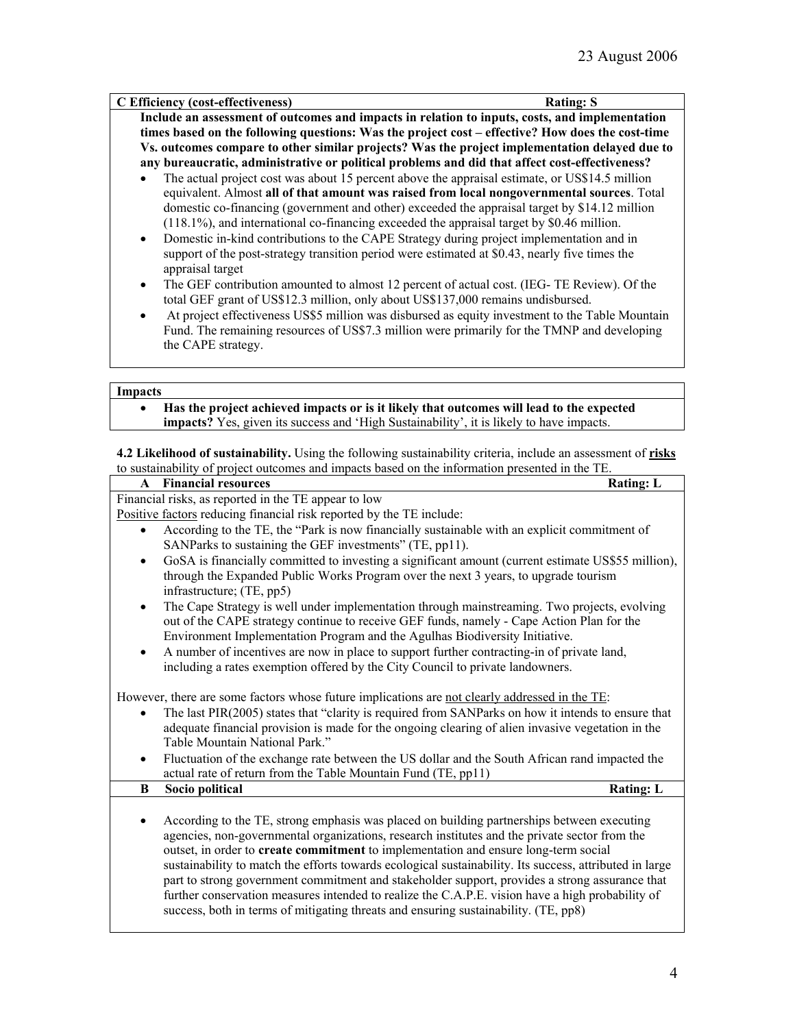| C Efficiency (cost-effectiveness)                                                                           | <b>Rating: S</b> |  |  |
|-------------------------------------------------------------------------------------------------------------|------------------|--|--|
| Include an assessment of outcomes and impacts in relation to inputs, costs, and implementation              |                  |  |  |
| times based on the following questions: Was the project cost – effective? How does the cost-time            |                  |  |  |
| Vs. outcomes compare to other similar projects? Was the project implementation delayed due to               |                  |  |  |
| any bureaucratic, administrative or political problems and did that affect cost-effectiveness?              |                  |  |  |
| The actual project cost was about 15 percent above the appraisal estimate, or US\$14.5 million<br>$\bullet$ |                  |  |  |
| equivalent. Almost all of that amount was raised from local nongovernmental sources. Total                  |                  |  |  |

- domestic co-financing (government and other) exceeded the appraisal target by \$14.12 million (118.1%), and international co-financing exceeded the appraisal target by \$0.46 million. • Domestic in-kind contributions to the CAPE Strategy during project implementation and in
- support of the post-strategy transition period were estimated at \$0.43, nearly five times the appraisal target
- The GEF contribution amounted to almost 12 percent of actual cost. (IEG- TE Review). Of the total GEF grant of US\$12.3 million, only about US\$137,000 remains undisbursed.
- At project effectiveness US\$5 million was disbursed as equity investment to the Table Mountain Fund. The remaining resources of US\$7.3 million were primarily for the TMNP and developing the CAPE strategy.

#### **Impacts**

• **Has the project achieved impacts or is it likely that outcomes will lead to the expected impacts?** Yes, given its success and 'High Sustainability', it is likely to have impacts.

**4.2 Likelihood of sustainability.** Using the following sustainability criteria, include an assessment of **risks** to sustainability of project outcomes and impacts based on the information presented in the TE.

### **A** Financial resources **Rating:** L Financial risks, as reported in the TE appear to low Positive factors reducing financial risk reported by the TE include: • According to the TE, the "Park is now financially sustainable with an explicit commitment of SANParks to sustaining the GEF investments" (TE, pp11).

- GoSA is financially committed to investing a significant amount (current estimate US\$55 million), through the Expanded Public Works Program over the next 3 years, to upgrade tourism infrastructure; (TE, pp5)
- The Cape Strategy is well under implementation through mainstreaming. Two projects, evolving out of the CAPE strategy continue to receive GEF funds, namely - Cape Action Plan for the Environment Implementation Program and the Agulhas Biodiversity Initiative.
- A number of incentives are now in place to support further contracting-in of private land, including a rates exemption offered by the City Council to private landowners.

However, there are some factors whose future implications are not clearly addressed in the TE:

- The last PIR(2005) states that "clarity is required from SANParks on how it intends to ensure that adequate financial provision is made for the ongoing clearing of alien invasive vegetation in the Table Mountain National Park."
- Fluctuation of the exchange rate between the US dollar and the South African rand impacted the actual rate of return from the Table Mountain Fund (TE, pp11)
- **B** Socio political Rating: L
	- According to the TE, strong emphasis was placed on building partnerships between executing agencies, non-governmental organizations, research institutes and the private sector from the outset, in order to **create commitment** to implementation and ensure long-term social sustainability to match the efforts towards ecological sustainability. Its success, attributed in large part to strong government commitment and stakeholder support, provides a strong assurance that further conservation measures intended to realize the C.A.P.E. vision have a high probability of success, both in terms of mitigating threats and ensuring sustainability. (TE, pp8)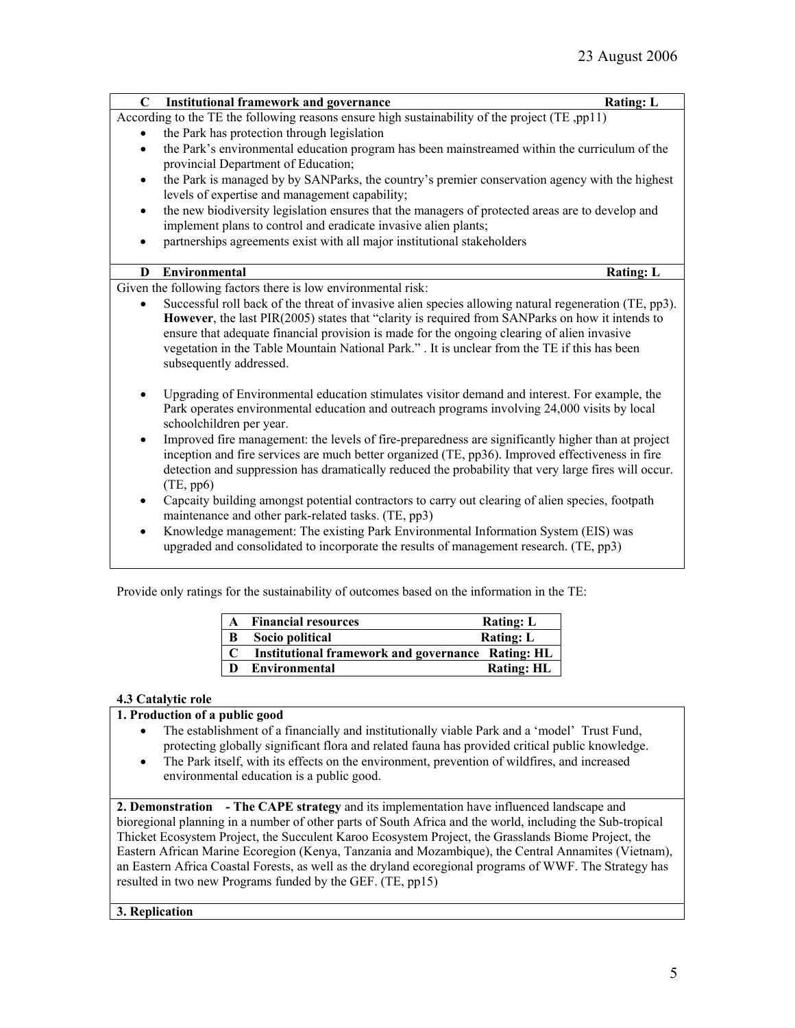| $\mathbf C$ | <b>Institutional framework and governance</b>                                                                                                                                                                                                                                                                                                                                                                                       | <b>Rating: L</b> |
|-------------|-------------------------------------------------------------------------------------------------------------------------------------------------------------------------------------------------------------------------------------------------------------------------------------------------------------------------------------------------------------------------------------------------------------------------------------|------------------|
|             | According to the TE the following reasons ensure high sustainability of the project (TE ,pp11)                                                                                                                                                                                                                                                                                                                                      |                  |
|             | the Park has protection through legislation                                                                                                                                                                                                                                                                                                                                                                                         |                  |
| $\bullet$   | the Park's environmental education program has been mainstreamed within the curriculum of the<br>provincial Department of Education;                                                                                                                                                                                                                                                                                                |                  |
| $\bullet$   | the Park is managed by by SANParks, the country's premier conservation agency with the highest<br>levels of expertise and management capability;                                                                                                                                                                                                                                                                                    |                  |
| $\bullet$   | the new biodiversity legislation ensures that the managers of protected areas are to develop and                                                                                                                                                                                                                                                                                                                                    |                  |
|             | implement plans to control and eradicate invasive alien plants;                                                                                                                                                                                                                                                                                                                                                                     |                  |
| $\bullet$   | partnerships agreements exist with all major institutional stakeholders                                                                                                                                                                                                                                                                                                                                                             |                  |
| D           | <b>Environmental</b>                                                                                                                                                                                                                                                                                                                                                                                                                | <b>Rating: L</b> |
|             | Given the following factors there is low environmental risk:                                                                                                                                                                                                                                                                                                                                                                        |                  |
|             | Successful roll back of the threat of invasive alien species allowing natural regeneration (TE, pp3).<br>However, the last PIR(2005) states that "clarity is required from SANParks on how it intends to<br>ensure that adequate financial provision is made for the ongoing clearing of alien invasive<br>vegetation in the Table Mountain National Park." . It is unclear from the TE if this has been<br>subsequently addressed. |                  |
|             | Upgrading of Environmental education stimulates visitor demand and interest. For example, the<br>Park operates environmental education and outreach programs involving 24,000 visits by local<br>schoolchildren per year.                                                                                                                                                                                                           |                  |
| $\bullet$   | Improved fire management: the levels of fire-preparedness are significantly higher than at project<br>inception and fire services are much better organized (TE, pp36). Improved effectiveness in fire<br>detection and suppression has dramatically reduced the probability that very large fires will occur.<br>(TE, pp6)                                                                                                         |                  |
| $\bullet$   | Capcaity building amongst potential contractors to carry out clearing of alien species, footpath<br>maintenance and other park-related tasks. (TE, pp3)                                                                                                                                                                                                                                                                             |                  |
| $\bullet$   | Knowledge management: The existing Park Environmental Information System (EIS) was<br>upgraded and consolidated to incorporate the results of management research. (TE, pp3)                                                                                                                                                                                                                                                        |                  |

Provide only ratings for the sustainability of outcomes based on the information in the TE:

| $\mathbf{A}$ | <b>Financial resources</b>                        | <b>Rating: L</b>  |
|--------------|---------------------------------------------------|-------------------|
| B            | Socio political                                   | <b>Rating: L</b>  |
|              | Institutional framework and governance Rating: HL |                   |
| $\mathbf{D}$ | Environmental                                     | <b>Rating: HL</b> |

# **4.3 Catalytic role**

# **1. Production of a public good**

- The establishment of a financially and institutionally viable Park and a 'model' Trust Fund, protecting globally significant flora and related fauna has provided critical public knowledge.
- The Park itself, with its effects on the environment, prevention of wildfires, and increased environmental education is a public good.

**2. Demonstration - The CAPE strategy** and its implementation have influenced landscape and bioregional planning in a number of other parts of South Africa and the world, including the Sub-tropical Thicket Ecosystem Project, the Succulent Karoo Ecosystem Project, the Grasslands Biome Project, the Eastern African Marine Ecoregion (Kenya, Tanzania and Mozambique), the Central Annamites (Vietnam), an Eastern Africa Coastal Forests, as well as the dryland ecoregional programs of WWF. The Strategy has resulted in two new Programs funded by the GEF. (TE, pp15)

## **3. Replication**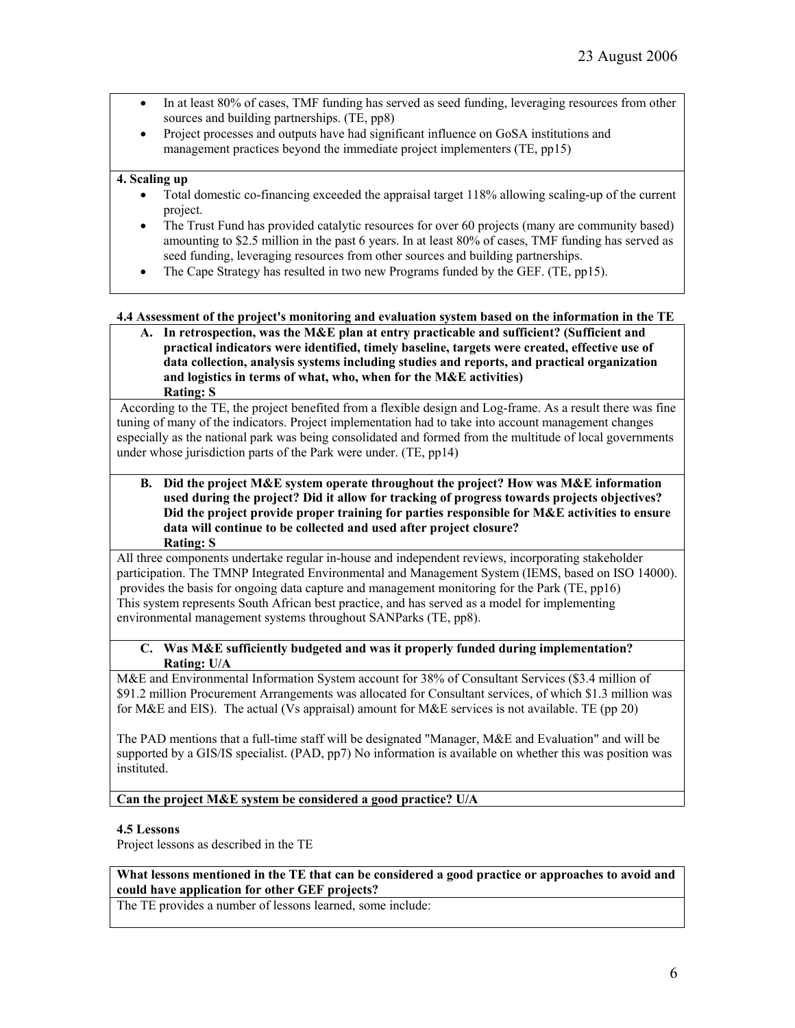- In at least 80% of cases, TMF funding has served as seed funding, leveraging resources from other sources and building partnerships. (TE, pp8)
- Project processes and outputs have had significant influence on GoSA institutions and management practices beyond the immediate project implementers (TE, pp15)

### **4. Scaling up**

- Total domestic co-financing exceeded the appraisal target 118% allowing scaling-up of the current project.
- The Trust Fund has provided catalytic resources for over 60 projects (many are community based) amounting to \$2.5 million in the past 6 years. In at least 80% of cases, TMF funding has served as seed funding, leveraging resources from other sources and building partnerships.
- The Cape Strategy has resulted in two new Programs funded by the GEF. (TE, pp15).

### **4.4 Assessment of the project's monitoring and evaluation system based on the information in the TE**

**A. In retrospection, was the M&E plan at entry practicable and sufficient? (Sufficient and practical indicators were identified, timely baseline, targets were created, effective use of data collection, analysis systems including studies and reports, and practical organization and logistics in terms of what, who, when for the M&E activities) Rating: S**

According to the TE, the project benefited from a flexible design and Log-frame. As a result there was fine tuning of many of the indicators. Project implementation had to take into account management changes especially as the national park was being consolidated and formed from the multitude of local governments under whose jurisdiction parts of the Park were under. (TE, pp14)

**B. Did the project M&E system operate throughout the project? How was M&E information used during the project? Did it allow for tracking of progress towards projects objectives? Did the project provide proper training for parties responsible for M&E activities to ensure data will continue to be collected and used after project closure? Rating: S**

All three components undertake regular in-house and independent reviews, incorporating stakeholder participation. The TMNP Integrated Environmental and Management System (IEMS, based on ISO 14000). provides the basis for ongoing data capture and management monitoring for the Park (TE, pp16) This system represents South African best practice, and has served as a model for implementing environmental management systems throughout SANParks (TE, pp8).

### **C. Was M&E sufficiently budgeted and was it properly funded during implementation? Rating: U/A**

M&E and Environmental Information System account for 38% of Consultant Services (\$3.4 million of \$91.2 million Procurement Arrangements was allocated for Consultant services, of which \$1.3 million was for M&E and EIS). The actual (Vs appraisal) amount for M&E services is not available. TE (pp 20)

The PAD mentions that a full-time staff will be designated "Manager, M&E and Evaluation" and will be supported by a GIS/IS specialist. (PAD, pp7) No information is available on whether this was position was instituted.

## **Can the project M&E system be considered a good practice? U/A**

#### **4.5 Lessons**

Project lessons as described in the TE

### **What lessons mentioned in the TE that can be considered a good practice or approaches to avoid and could have application for other GEF projects?**

The TE provides a number of lessons learned, some include: